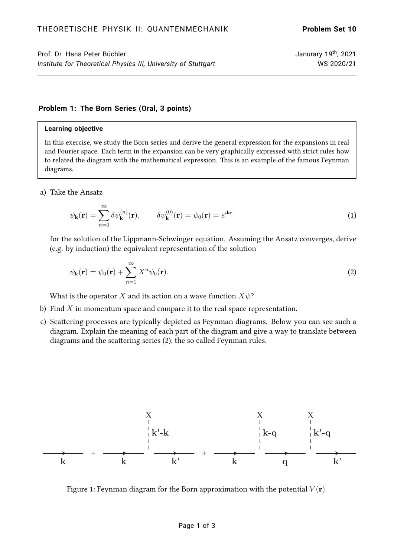# Prof. Dr. Hans Peter Büchler Janurary 19<sup>th</sup>, 2021 *Institute for Theoretical Physics III, University of Stuttgart* WS 2020/21

### **Problem 1: The Born Series (Oral, 3 points)**

#### **Learning objective**

In this exercise, we study the Born series and derive the general expression for the expansions in real and Fourier space. Each term in the expansion can be very graphically expressed with strict rules how to related the diagram with the mathematical expression. This is an example of the famous Feynman diagrams.

a) Take the Ansatz

$$
\psi_{\mathbf{k}}(\mathbf{r}) = \sum_{n=0}^{\infty} \delta \psi_{\mathbf{k}}^{(n)}(\mathbf{r}), \qquad \delta \psi_{\mathbf{k}}^{(0)}(\mathbf{r}) = \psi_0(\mathbf{r}) = e^{i\mathbf{k}\mathbf{r}}
$$
\n(1)

for the solution of the Lippmann-Schwinger equation. Assuming the Ansatz converges, derive (e.g. by induction) the equivalent representation of the solution

<span id="page-0-0"></span>
$$
\psi_{\mathbf{k}}(\mathbf{r}) = \psi_0(\mathbf{r}) + \sum_{n=1}^{\infty} X^n \psi_0(\mathbf{r}).
$$
\n(2)

What is the operator X and its action on a wave function  $X\psi$ ?

- b) Find  $X$  in momentum space and compare it to the real space representation.
- c) Scattering processes are typically depicted as Feynman diagrams. Below you can see such a diagram. Explain the meaning of each part of the diagram and give a way to translate between diagrams and the scattering series [\(2\)](#page-0-0), the so called Feynman rules.



Figure 1: Feynman diagram for the Born approximation with the potential  $V(\mathbf{r})$ .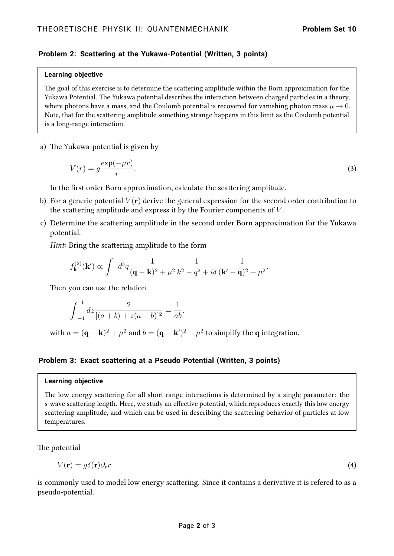# **Problem 2: Scattering at the Yukawa-Potential (Written, 3 points)**

### **Learning objective**

The goal of this exercise is to determine the scattering amplitude within the Born approximation for the Yukawa Potential. The Yukawa potential describes the interaction between charged particles in a theory, where photons have a mass, and the Coulomb potential is recovered for vanishing photon mass  $\mu \to 0$ . Note, that for the scattering amplitude something strange happens in this limit as the Coulomb potential is a long-range interaction.

a) The Yukawa-potential is given by

$$
V(r) = g \frac{\exp(-\mu r)}{r}.
$$
\n(3)

In the first order Born approximation, calculate the scattering amplitude.

- b) For a generic potential  $V(\mathbf{r})$  derive the general expression for the second order contribution to the scattering amplitude and express it by the Fourier components of  $V$ .
- c) Determine the scattering amplitude in the second order Born approximation for the Yukawa potential.

Hint: Bring the scattering amplitude to the form

$$
f_{\mathbf{k}}^{(2)}(\mathbf{k}') \propto \int d^3q \frac{1}{(\mathbf{q}-\mathbf{k})^2 + \mu^2} \frac{1}{k^2 - q^2 + i\delta} \frac{1}{(\mathbf{k}'-\mathbf{q})^2 + \mu^2}.
$$

Then you can use the relation

$$
\int_{-1}^{1} dz \frac{2}{[(a+b) + z(a-b)]^2} = \frac{1}{ab}.
$$

with  $a = (\mathbf{q} - \mathbf{k})^2 + \mu^2$  and  $b = (\mathbf{q} - \mathbf{k}')^2 + \mu^2$  to simplify the  $\mathbf{q}$  integration.

# **Problem 3: Exact scattering at a Pseudo Potential (Written, 3 points)**

### **Learning objective**

The low energy scattering for all short range interactions is determined by a single parameter: the s-wave scattering length. Here, we study an effective potential, which reproduces exactly this low energy scattering amplitude, and which can be used in describing the scattering behavior of particles at low temperatures.

The potential

$$
V(\mathbf{r}) = g\delta(\mathbf{r})\partial_r r \tag{4}
$$

is commonly used to model low energy scattering. Since it contains a derivative it is refered to as a pseudo-potential.